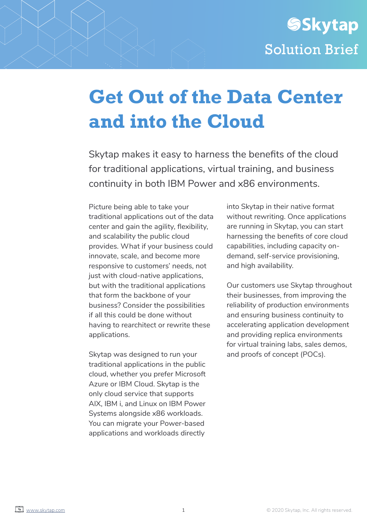# **Get Out of the Data Center and into the Cloud**

Skytap makes it easy to harness the benefits of the cloud for traditional applications, virtual training, and business continuity in both IBM Power and x86 environments.

Picture being able to take your traditional applications out of the data center and gain the agility, flexibility, and scalability the public cloud provides. What if your business could innovate, scale, and become more responsive to customers' needs, not just with cloud-native applications, but with the traditional applications that form the backbone of your business? Consider the possibilities if all this could be done without having to rearchitect or rewrite these applications.

Skytap was designed to run your traditional applications in the public cloud, whether you prefer Microsoft Azure or IBM Cloud. Skytap is the only cloud service that supports AIX, IBM i, and Linux on IBM Power Systems alongside x86 workloads. You can migrate your Power-based applications and workloads directly

into Skytap in their native format without rewriting. Once applications are running in Skytap, you can start harnessing the benefits of core cloud capabilities, including capacity ondemand, self-service provisioning, and high availability.

Our customers use Skytap throughout their businesses, from improving the reliability of production environments and ensuring business continuity to accelerating application development and providing replica environments for virtual training labs, sales demos, and proofs of concept (POCs).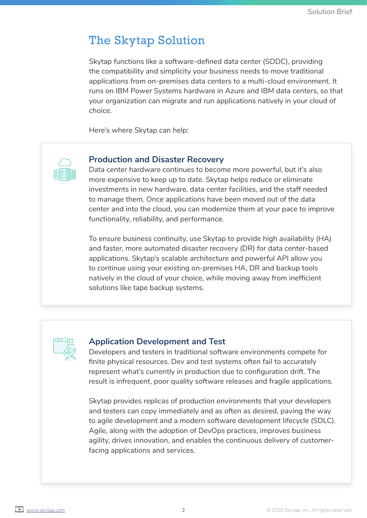# The Skytap Solution

Skytap functions like a software-defined data center (SDDC), providing the compatibility and simplicity your business needs to move traditional applications from on-premises data centers to a multi-cloud environment. It runs on IBM Power Systems hardware in Azure and IBM data centers, so that your organization can migrate and run applications natively in your cloud of choice.

Here's where Skytap can help:



## **Production and Disaster Recovery**

Data center hardware continues to become more powerful, but it's also more expensive to keep up to date. Skytap helps reduce or eliminate investments in new hardware, data center facilities, and the staff needed to manage them. Once applications have been moved out of the data center and into the cloud, you can modernize them at your pace to improve functionality, reliability, and performance.

To ensure business continuity, use Skytap to provide high availability (HA) and faster, more automated disaster recovery (DR) for data center-based applications. Skytap's scalable architecture and powerful API allow you to continue using your existing on-premises HA, DR and backup tools natively in the cloud of your choice, while moving away from inefficient solutions like tape backup systems.



### **Application Development and Test**

Developers and testers in traditional software environments compete for finite physical resources. Dev and test systems often fail to accurately represent what's currently in production due to configuration drift. The result is infrequent, poor quality software releases and fragile applications.

Skytap provides replicas of production environments that your developers and testers can copy immediately and as often as desired, paving the way to agile development and a modern software development lifecycle (SDLC). Agile, along with the adoption of DevOps practices, improves business agility, drives innovation, and enables the continuous delivery of customerfacing applications and services.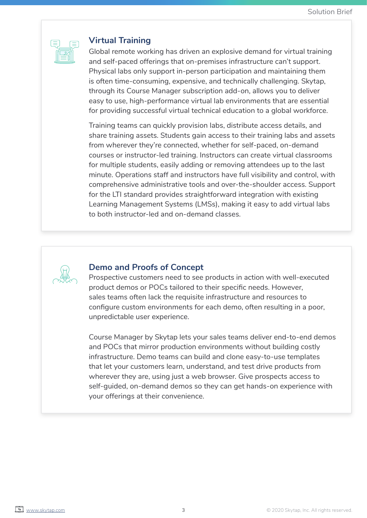

## **Virtual Training**

Global remote working has driven an explosive demand for virtual training and self-paced offerings that on-premises infrastructure can't support. Physical labs only support in-person participation and maintaining them is often time-consuming, expensive, and technically challenging. Skytap, through its Course Manager subscription add-on, allows you to deliver easy to use, high-performance virtual lab environments that are essential for providing successful virtual technical education to a global workforce.

Training teams can quickly provision labs, distribute access details, and share training assets. Students gain access to their training labs and assets from wherever they're connected, whether for self-paced, on-demand courses or instructor-led training. Instructors can create virtual classrooms for multiple students, easily adding or removing attendees up to the last minute. Operations staff and instructors have full visibility and control, with comprehensive administrative tools and over-the-shoulder access. Support for the LTI standard provides straightforward integration with existing Learning Management Systems (LMSs), making it easy to add virtual labs to both instructor-led and on-demand classes.



### **Demo and Proofs of Concept**

Prospective customers need to see products in action with well-executed product demos or POCs tailored to their specific needs. However, sales teams often lack the requisite infrastructure and resources to configure custom environments for each demo, often resulting in a poor, unpredictable user experience.

Course Manager by Skytap lets your sales teams deliver end-to-end demos and POCs that mirror production environments without building costly infrastructure. Demo teams can build and clone easy-to-use templates that let your customers learn, understand, and test drive products from wherever they are, using just a web browser. Give prospects access to self-guided, on-demand demos so they can get hands-on experience with your offerings at their convenience.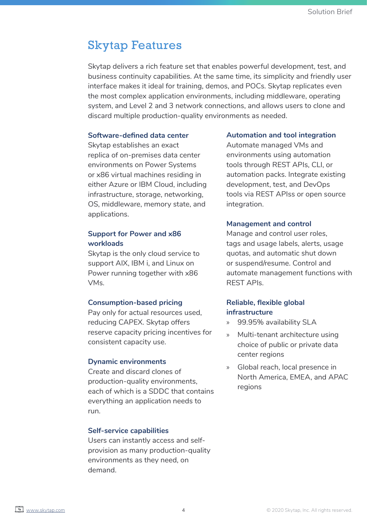## Skytap Features

Skytap delivers a rich feature set that enables powerful development, test, and business continuity capabilities. At the same time, its simplicity and friendly user interface makes it ideal for training, demos, and POCs. Skytap replicates even the most complex application environments, including middleware, operating system, and Level 2 and 3 network connections, and allows users to clone and discard multiple production-quality environments as needed.

#### **Software-defined data center**

Skytap establishes an exact replica of on-premises data center environments on Power Systems or x86 virtual machines residing in either Azure or IBM Cloud, including infrastructure, storage, networking, OS, middleware, memory state, and applications.

### **Support for Power and x86 workloads**

Skytap is the only cloud service to support AIX, IBM i, and Linux on Power running together with x86 VMs.

#### **Consumption-based pricing**

Pay only for actual resources used, reducing CAPEX. Skytap offers reserve capacity pricing incentives for consistent capacity use.

#### **Dynamic environments**

Create and discard clones of production-quality environments, each of which is a SDDC that contains everything an application needs to run.

#### **Self-service capabilities**

Users can instantly access and selfprovision as many production-quality environments as they need, on demand.

#### **Automation and tool integration**

Automate managed VMs and environments using automation tools through REST APIs, CLI, or automation packs. Integrate existing development, test, and DevOps tools via REST APIss or open source integration.

#### **Management and control**

Manage and control user roles, tags and usage labels, alerts, usage quotas, and automatic shut down or suspend/resume. Control and automate management functions with REST APIs.

### **Reliable, flexible global infrastructure**

- » 99.95% availability SLA
- » Multi-tenant architecture using choice of public or private data center regions
- » Global reach, local presence in North America, EMEA, and APAC regions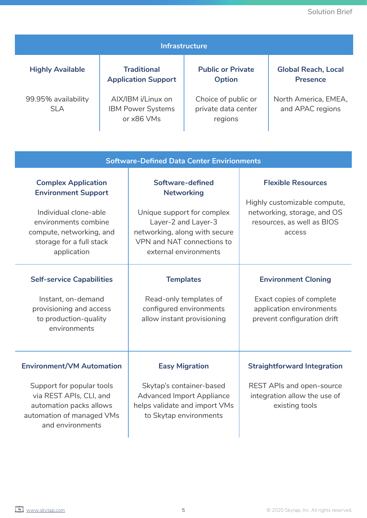**Global Reach, Local Presence**

| 99.95% availability<br><b>SLA</b>                                                                                                                                                |  | AIX/IBM i/Linux on<br><b>IBM Power Systems</b><br>or x86 VMs                                                                                                                       | Choice of public or<br>private data center<br>regions |                                                                                                                                  | North America, EMEA,<br>and APAC regions |
|----------------------------------------------------------------------------------------------------------------------------------------------------------------------------------|--|------------------------------------------------------------------------------------------------------------------------------------------------------------------------------------|-------------------------------------------------------|----------------------------------------------------------------------------------------------------------------------------------|------------------------------------------|
| <b>Software-Defined Data Center Envirionments</b>                                                                                                                                |  |                                                                                                                                                                                    |                                                       |                                                                                                                                  |                                          |
| <b>Complex Application</b><br><b>Environment Support</b><br>Individual clone-able<br>environments combine<br>compute, networking, and<br>storage for a full stack<br>application |  | Software-defined<br><b>Networking</b><br>Unique support for complex<br>Layer-2 and Layer-3<br>networking, along with secure<br>VPN and NAT connections to<br>external environments |                                                       | <b>Flexible Resources</b><br>Highly customizable compute,<br>networking, storage, and OS<br>resources, as well as BIOS<br>access |                                          |
| <b>Self-service Capabilities</b><br>Instant, on-demand<br>provisioning and access<br>to production-quality<br>environments                                                       |  | <b>Templates</b><br>Read-only templates of<br>configured environments<br>allow instant provisioning                                                                                |                                                       | <b>Environment Cloning</b><br>Exact copies of complete<br>application environments<br>prevent configuration drift                |                                          |
| <b>Environment/VM Automation</b><br>Support for popular tools<br>via REST APIs, CLI, and<br>automation packs allows<br>automation of managed VMs<br>and environments             |  | <b>Easy Migration</b><br>Skytap's container-based<br><b>Advanced Import Appliance</b><br>helps validate and import VMs<br>to Skytap environments                                   |                                                       | <b>Straightforward Integration</b><br><b>REST APIs and open-source</b><br>integration allow the use of<br>existing tools         |                                          |

**Infrastructure**

**Public or Private Option**

**Traditional Application Support**

**Highly Available**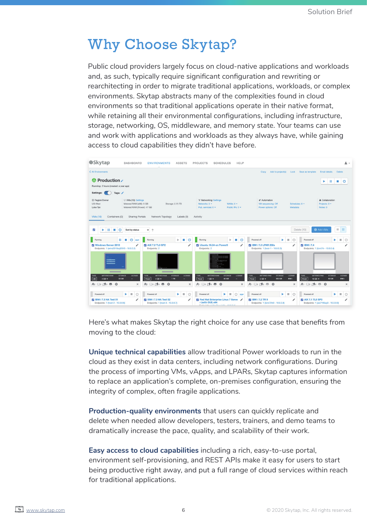# Why Choose Skytap?

Public cloud providers largely focus on cloud-native applications and workloads and, as such, typically require significant configuration and rewriting or rearchitecting in order to migrate traditional applications, workloads, or complex environments. Skytap abstracts many of the complexities found in cloud environments so that traditional applications operate in their native format, while retaining all their environmental configurations, including infrastructure, storage, networking, OS, middleware, and memory state. Your teams can use and work with applications and workloads as they always have, while gaining access to cloud capabilities they didn't have before.



Here's what makes Skytap the right choice for any use case that benefits from moving to the cloud:

**Unique technical capabilities** allow traditional Power workloads to run in the cloud as they exist in data centers, including network configurations. During the process of importing VMs, vApps, and LPARs, Skytap captures information to replace an application's complete, on-premises configuration, ensuring the integrity of complex, often fragile applications.

**Production-quality environments** that users can quickly replicate and delete when needed allow developers, testers, trainers, and demo teams to dramatically increase the pace, quality, and scalability of their work.

**Easy access to cloud capabilities** including a rich, easy-to-use portal, environment self-provisioning, and REST APIs make it easy for users to start being productive right away, and put a full range of cloud services within reach for traditional applications.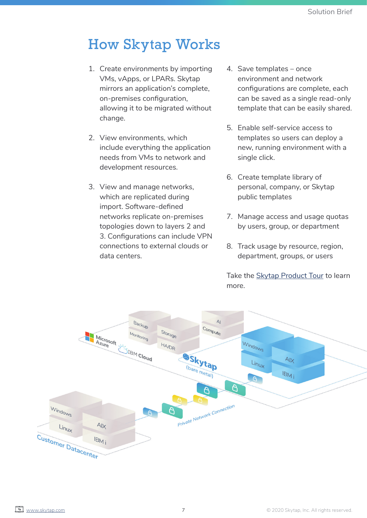# How Skytap Works

- 1. Create environments by importing VMs, vApps, or LPARs. Skytap mirrors an application's complete, on-premises configuration, allowing it to be migrated without change.
- 2. View environments, which include everything the application needs from VMs to network and development resources.
- 3. View and manage networks, which are replicated during import. Software-defined networks replicate on-premises topologies down to layers 2 and 3. Configurations can include VPN connections to external clouds or data centers.
- 4. Save templates once environment and network configurations are complete, each can be saved as a single read-only template that can be easily shared.
- 5. Enable self-service access to templates so users can deploy a new, running environment with a single click.
- 6. Create template library of personal, company, or Skytap public templates
- 7. Manage access and usage quotas by users, group, or department
- 8. Track usage by resource, region, department, groups, or users

Take the [Skytap Product Tour](http://skytap.com//product-tour/) to learn more.